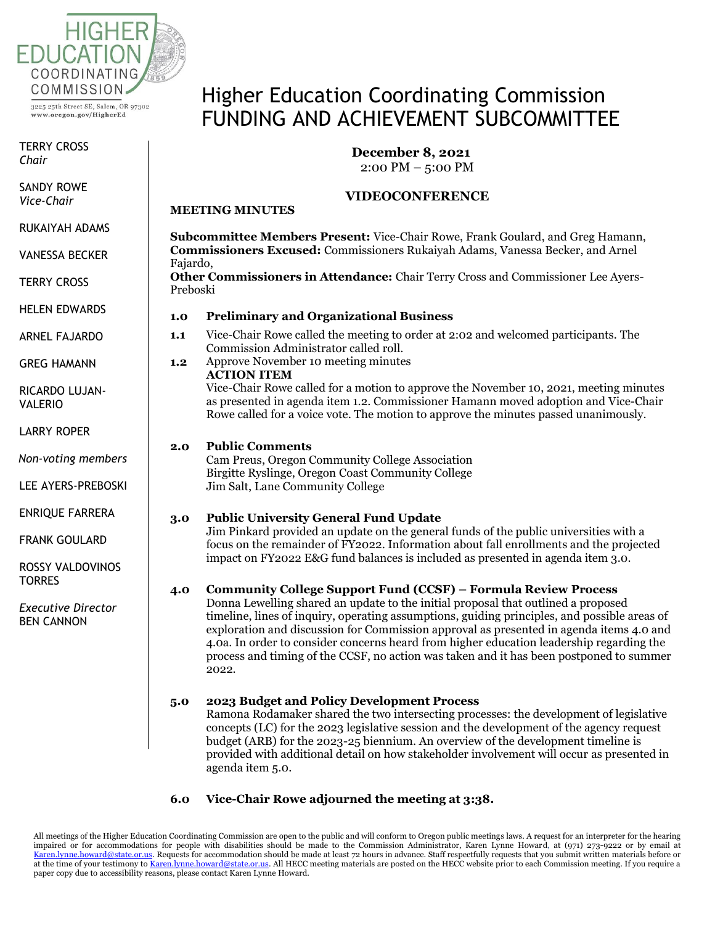

www.oregon.gov/HigherEd

TERRY CROSS *Chair*

SANDY ROWE<br>Vi *Chair Vice-Chair*

RUKAIYAH ADAMS

*Vice-Chair* VANESSA BECKER

 $\epsilon$ TERRY CROSS

HELEN EDWARDS

ARNEL FAJARDO

GREG HAMANN

RICARDO LUJAN-<br>WILEDIO VALERIO

LARRY ROPER

DUNCAN WYSE *Non-voting members*

*Non-voting*  LEE AYERS-PREBOSKI

*members* ENRIQUE FARRERA

 $\epsilon$  countries FRANK GOULARD

ROSSY VALDOVINOS<br>TORRES ES DE CA TORRES

FRANK *Executive Director* BEN CANNON

# Higher Education Coordinating Commission FUNDING AND ACHIEVEMENT SUBCOMMITTEE

# **December 8, 2021**

2:00 PM – 5:00 PM

## **VIDEOCONFERENCE**

**Subcommittee Members Present:** Vice-Chair Rowe, Frank Goulard, and Greg Hamann, **Commissioners Excused:** Commissioners Rukaiyah Adams, Vanessa Becker, and Arnel Fajardo, **Other Commissioners in Attendance:** Chair Terry Cross and Commissioner Lee Ayers-Preboski

#### **1.0 Preliminary and Organizational Business**

- **1.1** Vice-Chair Rowe called the meeting to order at 2:02 and welcomed participants. The Commission Administrator called roll.
- **1.2** Approve November 10 meeting minutes

**ACTION ITEM**  Vice-Chair Rowe called for a motion to approve the November 10, 2021, meeting minutes as presented in agenda item 1.2. Commissioner Hamann moved adoption and Vice-Chair Rowe called for a voice vote. The motion to approve the minutes passed unanimously.

#### **2.0 Public Comments**

**MEETING MINUTES**

Cam Preus, Oregon Community College Association Birgitte Ryslinge, Oregon Coast Community College Jim Salt, Lane Community College

### **3.0 Public University General Fund Update**

Jim Pinkard provided an update on the general funds of the public universities with a focus on the remainder of FY2022. Information about fall enrollments and the projected impact on FY2022 E&G fund balances is included as presented in agenda item 3.0.

### **4.0 Community College Support Fund (CCSF) – Formula Review Process**

Donna Lewelling shared an update to the initial proposal that outlined a proposed timeline, lines of inquiry, operating assumptions, guiding principles, and possible areas of exploration and discussion for Commission approval as presented in agenda items 4.0 and 4.0a. In order to consider concerns heard from higher education leadership regarding the process and timing of the CCSF, no action was taken and it has been postponed to summer 2022.

### **5.0 2023 Budget and Policy Development Process**

Ramona Rodamaker shared the two intersecting processes: the development of legislative concepts (LC) for the 2023 legislative session and the development of the agency request budget (ARB) for the 2023-25 biennium. An overview of the development timeline is provided with additional detail on how stakeholder involvement will occur as presented in agenda item 5.0.

### **6.0 Vice-Chair Rowe adjourned the meeting at 3:38.**

All meetings of the Higher Education Coordinating Commission are open to the public and will conform to Oregon public meetings laws. A request for an interpreter for the hearing impaired or for accommodations for people with disabilities should be made to the Commission Administrator, Karen Lynne Howard, at (971) 273-9222 or by email at [Karen.lynne.howard@state.or.us.](mailto:Karen.lynne.howard@state.or.us) Requests for accommodation should be made at least 72 hours in advance. Staff respectfully requests that you submit written materials before or at the time of your testimony t[o Karen.lynne.howard@state.or.us.](mailto:Karen.lynne.howard@state.or.us) All HECC meeting materials are posted on the HECC website prior to each Commission meeting. If you require a paper copy due to accessibility reasons, please contact Karen Lynne Howard.